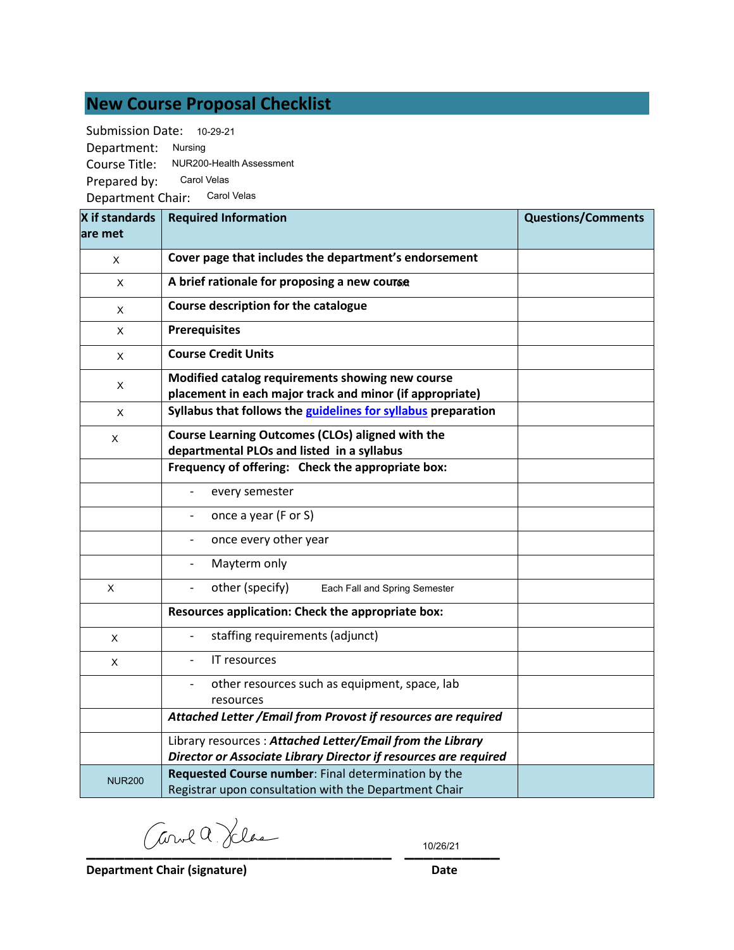# **New Course Proposal Checklist**

Submission Date: 10-29-21

Department: Nursing Course Title: NUR200-Health Assessment Prepared by: Prepared by: <sup>Carol Velas</sup><br>Department Chair: <sup>Carol Velas</sup>

| X if standards | <b>Required Information</b>                                                                                                   | <b>Questions/Comments</b> |
|----------------|-------------------------------------------------------------------------------------------------------------------------------|---------------------------|
| lare met       |                                                                                                                               |                           |
| X              | Cover page that includes the department's endorsement                                                                         |                           |
| X              | A brief rationale for proposing a new course                                                                                  |                           |
| $\pmb{\times}$ | Course description for the catalogue                                                                                          |                           |
| X              | <b>Prerequisites</b>                                                                                                          |                           |
| X              | <b>Course Credit Units</b>                                                                                                    |                           |
| Χ              | Modified catalog requirements showing new course<br>placement in each major track and minor (if appropriate)                  |                           |
| X              | Syllabus that follows the guidelines for syllabus preparation                                                                 |                           |
| X              | Course Learning Outcomes (CLOs) aligned with the<br>departmental PLOs and listed in a syllabus                                |                           |
|                | Frequency of offering: Check the appropriate box:                                                                             |                           |
|                | every semester                                                                                                                |                           |
|                | once a year (F or S)                                                                                                          |                           |
|                | once every other year                                                                                                         |                           |
|                | Mayterm only                                                                                                                  |                           |
| X              | other (specify)<br>Each Fall and Spring Semester                                                                              |                           |
|                | Resources application: Check the appropriate box:                                                                             |                           |
| X              | staffing requirements (adjunct)                                                                                               |                           |
| X              | <b>IT resources</b>                                                                                                           |                           |
|                | other resources such as equipment, space, lab<br>resources                                                                    |                           |
|                | Attached Letter / Email from Provost if resources are required                                                                |                           |
|                | Library resources: Attached Letter/Email from the Library<br>Director or Associate Library Director if resources are required |                           |
| <b>NUR200</b>  | Requested Course number: Final determination by the<br>Registrar upon consultation with the Department Chair                  |                           |

**\_\_\_\_\_\_\_\_\_\_\_\_\_\_\_\_\_\_\_\_\_\_\_\_\_\_\_\_\_\_\_\_ \_\_\_\_\_\_\_\_\_\_**

10/26/21

**Department Chair (signature) Date**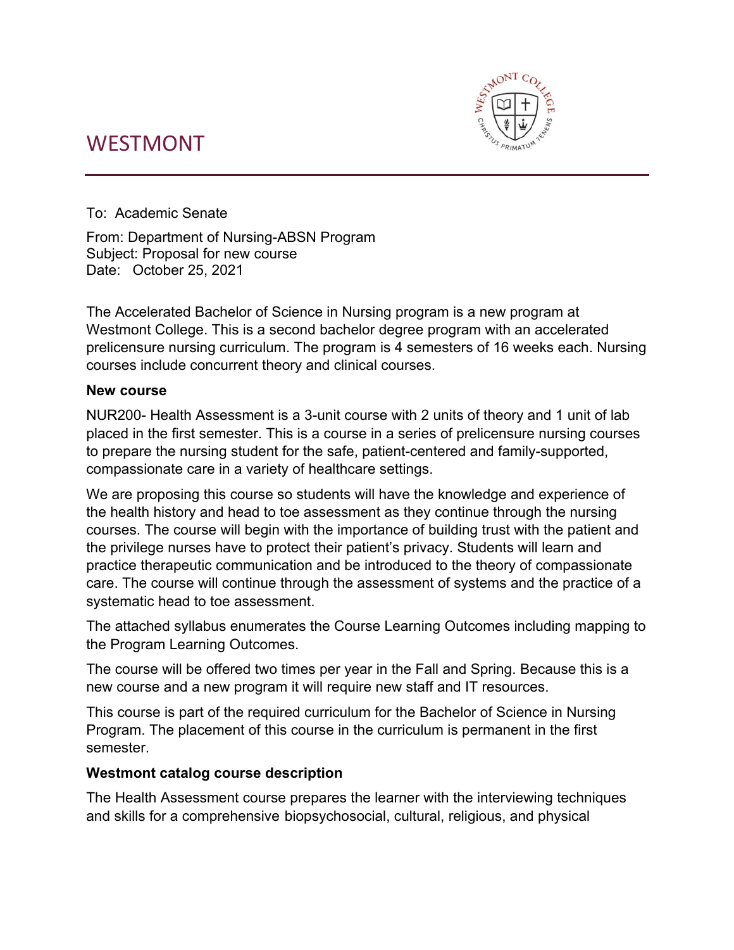# WESTMONT



To: Academic Senate

From: Department of Nursing-ABSN Program Subject: Proposal for new course Date: October 25, 2021

The Accelerated Bachelor of Science in Nursing program is a new program at Westmont College. This is a second bachelor degree program with an accelerated prelicensure nursing curriculum. The program is 4 semesters of 16 weeks each. Nursing courses include concurrent theory and clinical courses.

## **New course**

NUR200- Health Assessment is a 3-unit course with 2 units of theory and 1 unit of lab placed in the first semester. This is a course in a series of prelicensure nursing courses to prepare the nursing student for the safe, patient-centered and family-supported, compassionate care in a variety of healthcare settings.

We are proposing this course so students will have the knowledge and experience of the health history and head to toe assessment as they continue through the nursing courses. The course will begin with the importance of building trust with the patient and the privilege nurses have to protect their patient's privacy. Students will learn and practice therapeutic communication and be introduced to the theory of compassionate care. The course will continue through the assessment of systems and the practice of a systematic head to toe assessment.

The attached syllabus enumerates the Course Learning Outcomes including mapping to the Program Learning Outcomes.

The course will be offered two times per year in the Fall and Spring. Because this is a new course and a new program it will require new staff and IT resources.

This course is part of the required curriculum for the Bachelor of Science in Nursing Program. The placement of this course in the curriculum is permanent in the first semester.

# **Westmont catalog course description**

The Health Assessment course prepares the learner with the interviewing techniques and skills for a comprehensive biopsychosocial, cultural, religious, and physical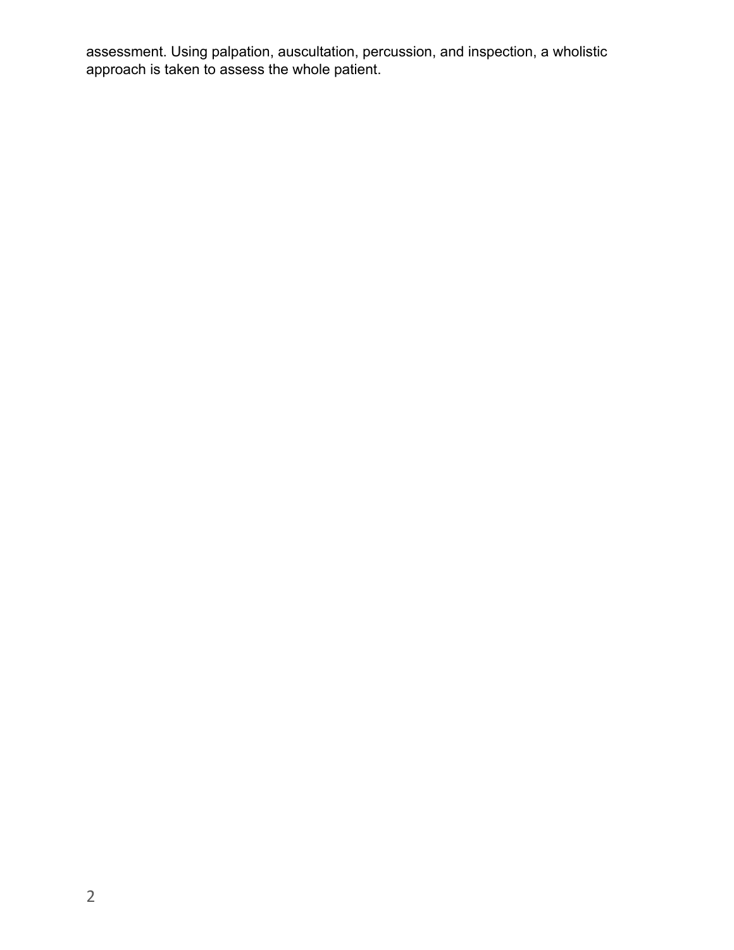assessment. Using palpation, auscultation, percussion, and inspection, a wholistic approach is taken to assess the whole patient.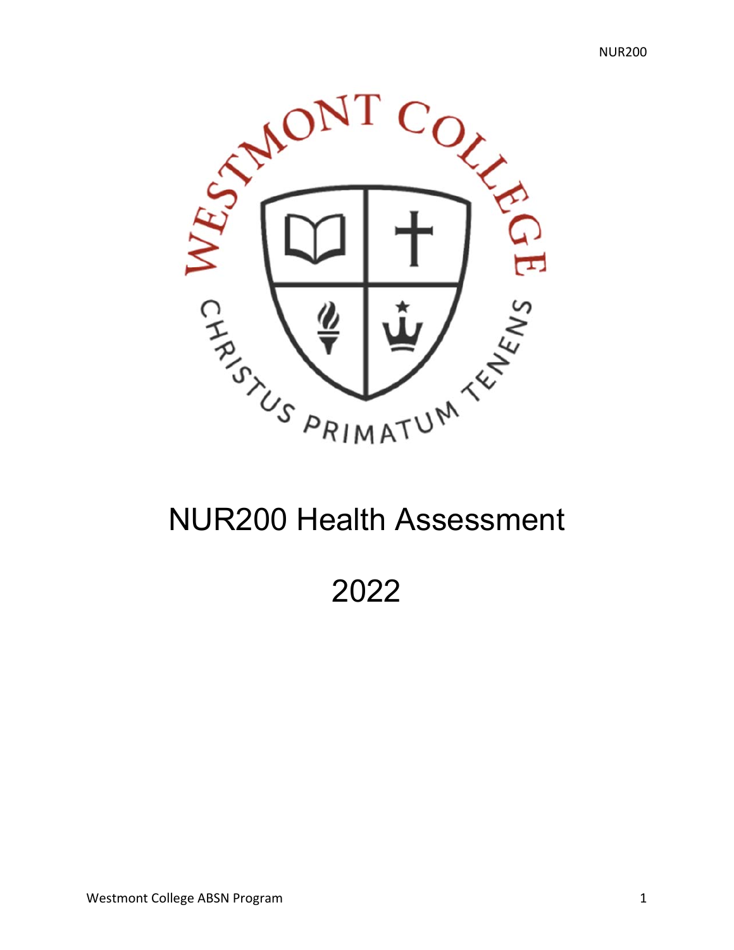

# NUR200 Health Assessment

2022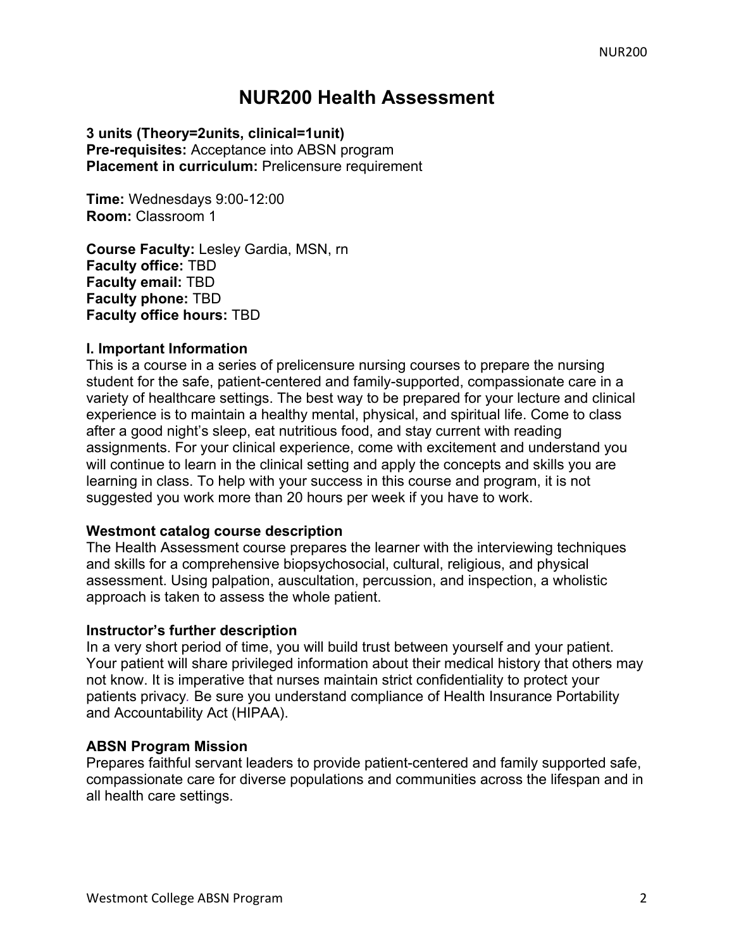# **NUR200 Health Assessment**

### **3 units (Theory=2units, clinical=1unit) Pre-requisites:** Acceptance into ABSN program **Placement in curriculum:** Prelicensure requirement

**Time:** Wednesdays 9:00-12:00 **Room:** Classroom 1

**Course Faculty:** Lesley Gardia, MSN, rn **Faculty office:** TBD **Faculty email:** TBD **Faculty phone:** TBD **Faculty office hours:** TBD

#### **I. Important Information**

This is a course in a series of prelicensure nursing courses to prepare the nursing student for the safe, patient-centered and family-supported, compassionate care in a variety of healthcare settings. The best way to be prepared for your lecture and clinical experience is to maintain a healthy mental, physical, and spiritual life. Come to class after a good night's sleep, eat nutritious food, and stay current with reading assignments. For your clinical experience, come with excitement and understand you will continue to learn in the clinical setting and apply the concepts and skills you are learning in class. To help with your success in this course and program, it is not suggested you work more than 20 hours per week if you have to work.

#### **Westmont catalog course description**

The Health Assessment course prepares the learner with the interviewing techniques and skills for a comprehensive biopsychosocial, cultural, religious, and physical assessment. Using palpation, auscultation, percussion, and inspection, a wholistic approach is taken to assess the whole patient.

#### **Instructor's further description**

In a very short period of time, you will build trust between yourself and your patient. Your patient will share privileged information about their medical history that others may not know. It is imperative that nurses maintain strict confidentiality to protect your patients privacy*.* Be sure you understand compliance of Health Insurance Portability and Accountability Act (HIPAA).

#### **ABSN Program Mission**

Prepares faithful servant leaders to provide patient-centered and family supported safe, compassionate care for diverse populations and communities across the lifespan and in all health care settings.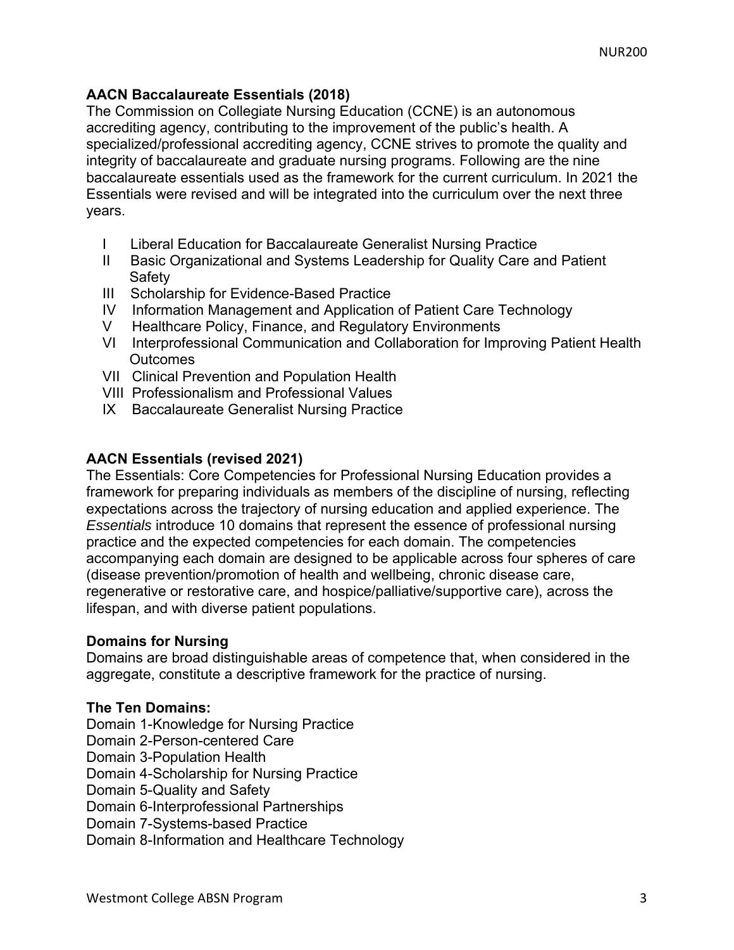# **AACN Baccalaureate Essentials (2018)**

The Commission on Collegiate Nursing Education (CCNE) is an autonomous accrediting agency, contributing to the improvement of the public's health. A specialized/professional accrediting agency, CCNE strives to promote the quality and integrity of baccalaureate and graduate nursing programs. Following are the nine baccalaureate essentials used as the framework for the current curriculum. In 2021 the Essentials were revised and will be integrated into the curriculum over the next three years.

- I Liberal Education for Baccalaureate Generalist Nursing Practice
- II Basic Organizational and Systems Leadership for Quality Care and Patient **Safety**
- III Scholarship for Evidence-Based Practice
- IV Information Management and Application of Patient Care Technology
- V Healthcare Policy, Finance, and Regulatory Environments
- VI Interprofessional Communication and Collaboration for Improving Patient Health **Outcomes**
- VII Clinical Prevention and Population Health
- VIII Professionalism and Professional Values
- IX Baccalaureate Generalist Nursing Practice

## **AACN Essentials (revised 2021)**

The Essentials: Core Competencies for Professional Nursing Education provides a framework for preparing individuals as members of the discipline of nursing, reflecting expectations across the trajectory of nursing education and applied experience. The *Essentials* introduce 10 domains that represent the essence of professional nursing practice and the expected competencies for each domain. The competencies accompanying each domain are designed to be applicable across four spheres of care (disease prevention/promotion of health and wellbeing, chronic disease care, regenerative or restorative care, and hospice/palliative/supportive care), across the lifespan, and with diverse patient populations.

#### **Domains for Nursing**

Domains are broad distinguishable areas of competence that, when considered in the aggregate, constitute a descriptive framework for the practice of nursing.

#### **The Ten Domains:**

Domain 1-Knowledge for Nursing Practice

- Domain 2-Person-centered Care
- Domain 3-Population Health

Domain 4-Scholarship for Nursing Practice

Domain 5-Quality and Safety

Domain 6-Interprofessional Partnerships

Domain 7-Systems-based Practice

Domain 8-Information and Healthcare Technology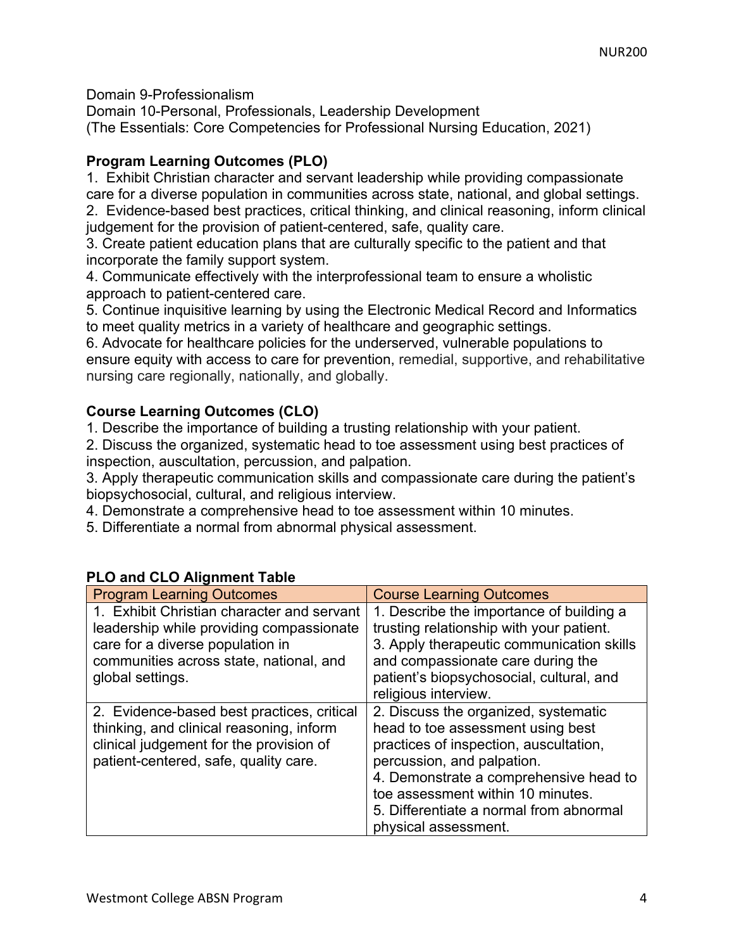Domain 9-Professionalism

Domain 10-Personal, Professionals, Leadership Development (The Essentials: Core Competencies for Professional Nursing Education, 2021)

# **Program Learning Outcomes (PLO)**

1. Exhibit Christian character and servant leadership while providing compassionate care for a diverse population in communities across state, national, and global settings. 2. Evidence-based best practices, critical thinking, and clinical reasoning, inform clinical

judgement for the provision of patient-centered, safe, quality care.

3. Create patient education plans that are culturally specific to the patient and that incorporate the family support system.

4. Communicate effectively with the interprofessional team to ensure a wholistic approach to patient-centered care.

5. Continue inquisitive learning by using the Electronic Medical Record and Informatics to meet quality metrics in a variety of healthcare and geographic settings.

6. Advocate for healthcare policies for the underserved, vulnerable populations to ensure equity with access to care for prevention, remedial, supportive, and rehabilitative nursing care regionally, nationally, and globally.

# **Course Learning Outcomes (CLO)**

1. Describe the importance of building a trusting relationship with your patient.

2. Discuss the organized, systematic head to toe assessment using best practices of inspection, auscultation, percussion, and palpation.

3. Apply therapeutic communication skills and compassionate care during the patient's biopsychosocial, cultural, and religious interview.

4. Demonstrate a comprehensive head to toe assessment within 10 minutes.

5. Differentiate a normal from abnormal physical assessment.

| <b>Program Learning Outcomes</b>                                                                                                                                                          | <b>Course Learning Outcomes</b>                                                                                                                                                                                                                                                                     |
|-------------------------------------------------------------------------------------------------------------------------------------------------------------------------------------------|-----------------------------------------------------------------------------------------------------------------------------------------------------------------------------------------------------------------------------------------------------------------------------------------------------|
| 1. Exhibit Christian character and servant<br>leadership while providing compassionate<br>care for a diverse population in<br>communities across state, national, and<br>global settings. | 1. Describe the importance of building a<br>trusting relationship with your patient.<br>3. Apply therapeutic communication skills<br>and compassionate care during the<br>patient's biopsychosocial, cultural, and                                                                                  |
|                                                                                                                                                                                           | religious interview.                                                                                                                                                                                                                                                                                |
| 2. Evidence-based best practices, critical<br>thinking, and clinical reasoning, inform<br>clinical judgement for the provision of<br>patient-centered, safe, quality care.                | 2. Discuss the organized, systematic<br>head to toe assessment using best<br>practices of inspection, auscultation,<br>percussion, and palpation.<br>4. Demonstrate a comprehensive head to<br>toe assessment within 10 minutes.<br>5. Differentiate a normal from abnormal<br>physical assessment. |

# **PLO and CLO Alignment Table**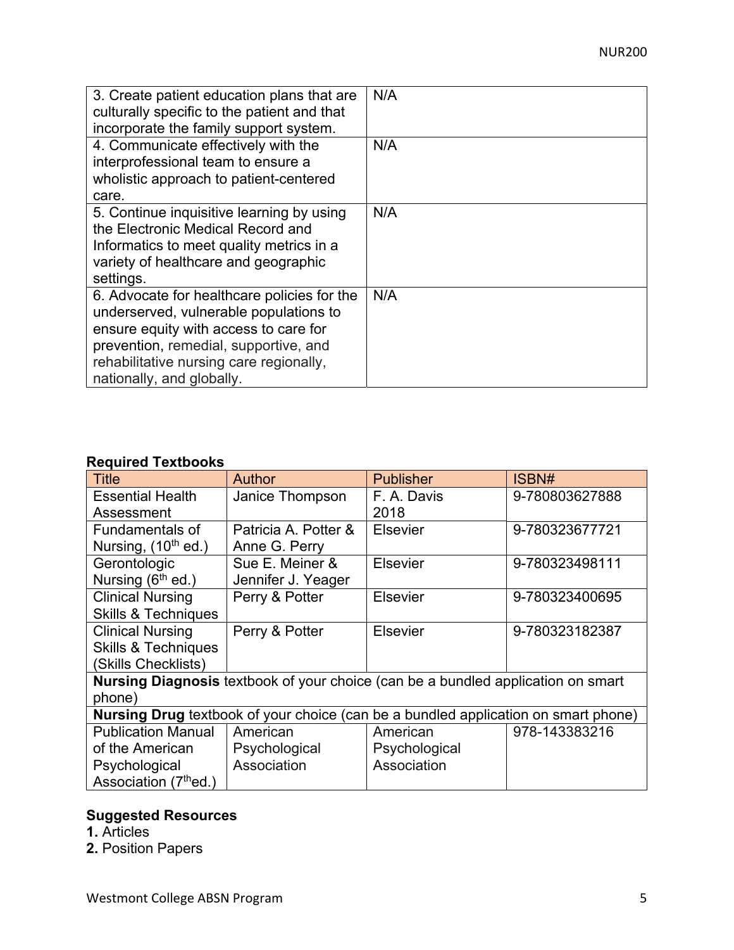| 3. Create patient education plans that are<br>culturally specific to the patient and that<br>incorporate the family support system.                                                                                                             | N/A |
|-------------------------------------------------------------------------------------------------------------------------------------------------------------------------------------------------------------------------------------------------|-----|
| 4. Communicate effectively with the<br>interprofessional team to ensure a<br>wholistic approach to patient-centered<br>care.                                                                                                                    | N/A |
| 5. Continue inquisitive learning by using<br>the Electronic Medical Record and<br>Informatics to meet quality metrics in a<br>variety of healthcare and geographic<br>settings.                                                                 | N/A |
| 6. Advocate for healthcare policies for the<br>underserved, vulnerable populations to<br>ensure equity with access to care for<br>prevention, remedial, supportive, and<br>rehabilitative nursing care regionally,<br>nationally, and globally. | N/A |

# **Required Textbooks**

|                                   | Author               | <b>Publisher</b>                                                                   | ISBN#          |
|-----------------------------------|----------------------|------------------------------------------------------------------------------------|----------------|
| <b>Title</b>                      |                      |                                                                                    |                |
| <b>Essential Health</b>           | Janice Thompson      | F. A. Davis                                                                        | 9-780803627888 |
| Assessment                        |                      | 2018                                                                               |                |
| <b>Fundamentals of</b>            | Patricia A. Potter & | <b>Elsevier</b>                                                                    | 9-780323677721 |
| Nursing, (10 <sup>th</sup> ed.)   | Anne G. Perry        |                                                                                    |                |
| Gerontologic                      | Sue E. Meiner &      | <b>Elsevier</b>                                                                    | 9-780323498111 |
| Nursing (6 <sup>th</sup> ed.)     | Jennifer J. Yeager   |                                                                                    |                |
| <b>Clinical Nursing</b>           | Perry & Potter       | <b>Elsevier</b>                                                                    | 9-780323400695 |
| <b>Skills &amp; Techniques</b>    |                      |                                                                                    |                |
| <b>Clinical Nursing</b>           | Perry & Potter       | Elsevier                                                                           | 9-780323182387 |
| <b>Skills &amp; Techniques</b>    |                      |                                                                                    |                |
| (Skills Checklists)               |                      |                                                                                    |                |
|                                   |                      | Nursing Diagnosis textbook of your choice (can be a bundled application on smart   |                |
| phone)                            |                      |                                                                                    |                |
|                                   |                      | Nursing Drug textbook of your choice (can be a bundled application on smart phone) |                |
| <b>Publication Manual</b>         | American             | American                                                                           | 978-143383216  |
| of the American                   | Psychological        | Psychological                                                                      |                |
| Psychological                     | Association          | Association                                                                        |                |
| Association (7 <sup>th</sup> ed.) |                      |                                                                                    |                |

# **Suggested Resources**

- **1.** Articles
- **2.** Position Papers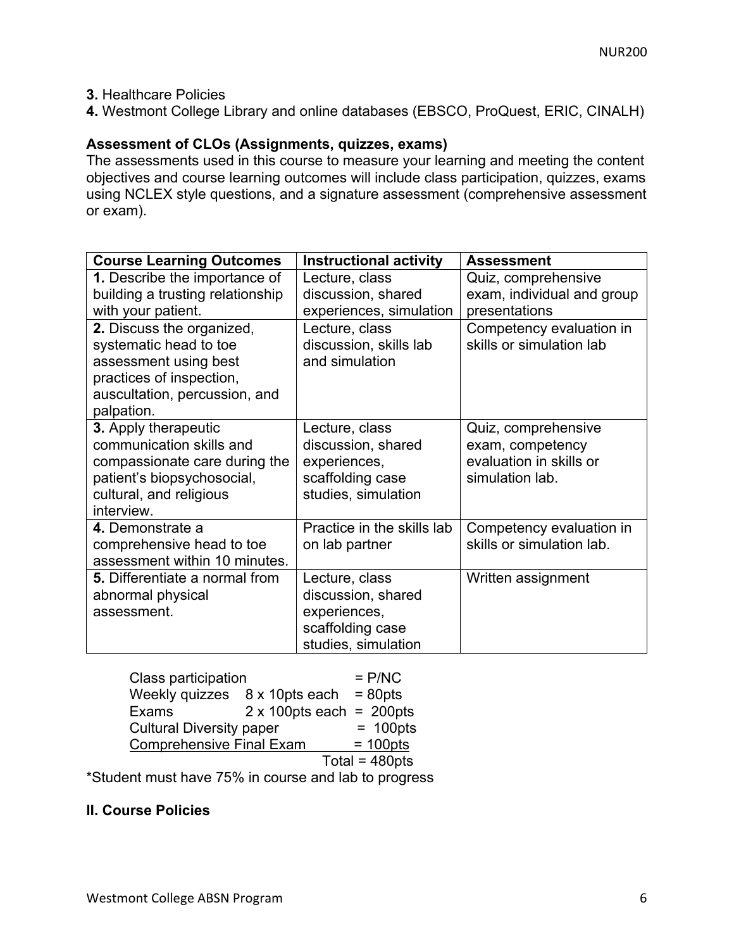## **3.** Healthcare Policies

**4.** Westmont College Library and online databases (EBSCO, ProQuest, ERIC, CINALH)

# **Assessment of CLOs (Assignments, quizzes, exams)**

The assessments used in this course to measure your learning and meeting the content objectives and course learning outcomes will include class participation, quizzes, exams using NCLEX style questions, and a signature assessment (comprehensive assessment or exam).

| <b>Course Learning Outcomes</b>       | <b>Instructional activity</b> | Assessment                 |
|---------------------------------------|-------------------------------|----------------------------|
| 1. Describe the importance of         | Lecture, class                | Quiz, comprehensive        |
| building a trusting relationship      | discussion, shared            | exam, individual and group |
| with your patient.                    | experiences, simulation       | presentations              |
| 2. Discuss the organized,             | Lecture, class                | Competency evaluation in   |
| systematic head to toe                | discussion, skills lab        | skills or simulation lab   |
| assessment using best                 | and simulation                |                            |
| practices of inspection,              |                               |                            |
| auscultation, percussion, and         |                               |                            |
| palpation.                            |                               |                            |
| 3. Apply therapeutic                  | Lecture, class                | Quiz, comprehensive        |
| communication skills and              | discussion, shared            | exam, competency           |
| compassionate care during the         | experiences,                  | evaluation in skills or    |
| patient's biopsychosocial,            | scaffolding case              | simulation lab.            |
| cultural, and religious               | studies, simulation           |                            |
| interview.                            |                               |                            |
| 4. Demonstrate a                      | Practice in the skills lab    | Competency evaluation in   |
| comprehensive head to toe             | on lab partner                | skills or simulation lab.  |
| assessment within 10 minutes.         |                               |                            |
| <b>5.</b> Differentiate a normal from | Lecture, class                | Written assignment         |
| abnormal physical                     | discussion, shared            |                            |
| assessment.                           | experiences,                  |                            |
|                                       | scaffolding case              |                            |
|                                       | studies, simulation           |                            |

| Class participation                           | $=$ P/NC                         |
|-----------------------------------------------|----------------------------------|
| Weekly quizzes $8 \times 10$ pts each = 80pts |                                  |
| <b>Exams</b>                                  | $2 \times 100$ pts each = 200pts |
| <b>Cultural Diversity paper</b>               | $= 100pts$                       |
| <b>Comprehensive Final Exam</b>               | $= 100 \text{pts}$               |
|                                               | Total = $480$ pts                |

\*Student must have 75% in course and lab to progress

#### **II. Course Policies**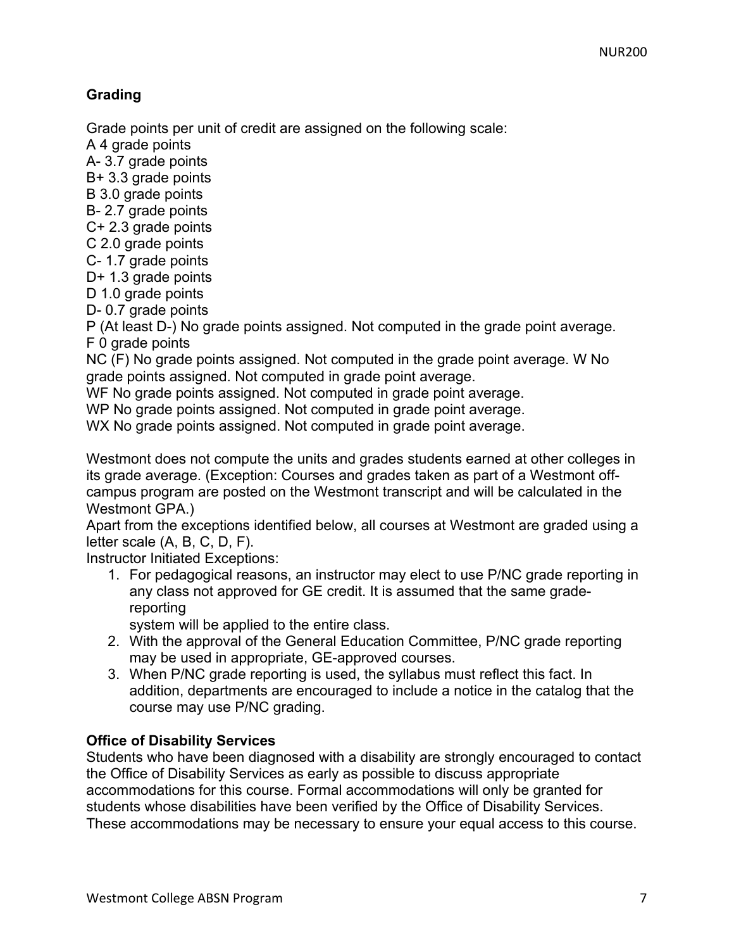# **Grading**

Grade points per unit of credit are assigned on the following scale:

A 4 grade points

A- 3.7 grade points

B+ 3.3 grade points

B 3.0 grade points

B- 2.7 grade points

C+ 2.3 grade points

C 2.0 grade points

C- 1.7 grade points

D+ 1.3 grade points

D 1.0 grade points

D- 0.7 grade points

P (At least D-) No grade points assigned. Not computed in the grade point average. F 0 grade points

NC (F) No grade points assigned. Not computed in the grade point average. W No grade points assigned. Not computed in grade point average.

WF No grade points assigned. Not computed in grade point average.

WP No grade points assigned. Not computed in grade point average.

WX No grade points assigned. Not computed in grade point average.

Westmont does not compute the units and grades students earned at other colleges in its grade average. (Exception: Courses and grades taken as part of a Westmont offcampus program are posted on the Westmont transcript and will be calculated in the Westmont GPA.)

Apart from the exceptions identified below, all courses at Westmont are graded using a letter scale (A, B, C, D, F).

Instructor Initiated Exceptions:

1. For pedagogical reasons, an instructor may elect to use P/NC grade reporting in any class not approved for GE credit. It is assumed that the same gradereporting

system will be applied to the entire class.

- 2. With the approval of the General Education Committee, P/NC grade reporting may be used in appropriate, GE-approved courses.
- 3. When P/NC grade reporting is used, the syllabus must reflect this fact. In addition, departments are encouraged to include a notice in the catalog that the course may use P/NC grading.

# **Office of Disability Services**

Students who have been diagnosed with a disability are strongly encouraged to contact the Office of Disability Services as early as possible to discuss appropriate accommodations for this course. Formal accommodations will only be granted for students whose disabilities have been verified by the Office of Disability Services. These accommodations may be necessary to ensure your equal access to this course.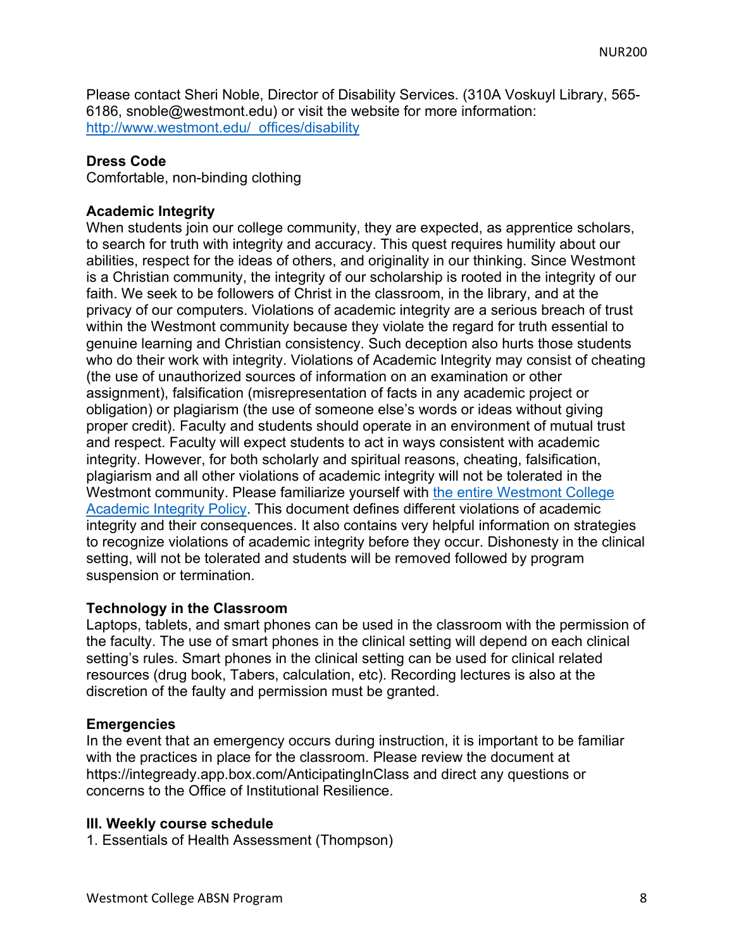Please contact Sheri Noble, Director of Disability Services. (310A Voskuyl Library, 565- 6186, snoble@westmont.edu) or visit the website for more information: http://www.westmont.edu/\_offices/disability

#### **Dress Code**

Comfortable, non-binding clothing

#### **Academic Integrity**

When students join our college community, they are expected, as apprentice scholars, to search for truth with integrity and accuracy. This quest requires humility about our abilities, respect for the ideas of others, and originality in our thinking. Since Westmont is a Christian community, the integrity of our scholarship is rooted in the integrity of our faith. We seek to be followers of Christ in the classroom, in the library, and at the privacy of our computers. Violations of academic integrity are a serious breach of trust within the Westmont community because they violate the regard for truth essential to genuine learning and Christian consistency. Such deception also hurts those students who do their work with integrity. Violations of Academic Integrity may consist of cheating (the use of unauthorized sources of information on an examination or other assignment), falsification (misrepresentation of facts in any academic project or obligation) or plagiarism (the use of someone else's words or ideas without giving proper credit). Faculty and students should operate in an environment of mutual trust and respect. Faculty will expect students to act in ways consistent with academic integrity. However, for both scholarly and spiritual reasons, cheating, falsification, plagiarism and all other violations of academic integrity will not be tolerated in the Westmont community. Please familiarize yourself with the entire Westmont College Academic Integrity Policy. This document defines different violations of academic integrity and their consequences. It also contains very helpful information on strategies to recognize violations of academic integrity before they occur. Dishonesty in the clinical setting, will not be tolerated and students will be removed followed by program suspension or termination.

#### **Technology in the Classroom**

Laptops, tablets, and smart phones can be used in the classroom with the permission of the faculty. The use of smart phones in the clinical setting will depend on each clinical setting's rules. Smart phones in the clinical setting can be used for clinical related resources (drug book, Tabers, calculation, etc). Recording lectures is also at the discretion of the faulty and permission must be granted.

#### **Emergencies**

In the event that an emergency occurs during instruction, it is important to be familiar with the practices in place for the classroom. Please review the document at https://integready.app.box.com/AnticipatingInClass and direct any questions or concerns to the Office of Institutional Resilience.

#### **III. Weekly course schedule**

1. Essentials of Health Assessment (Thompson)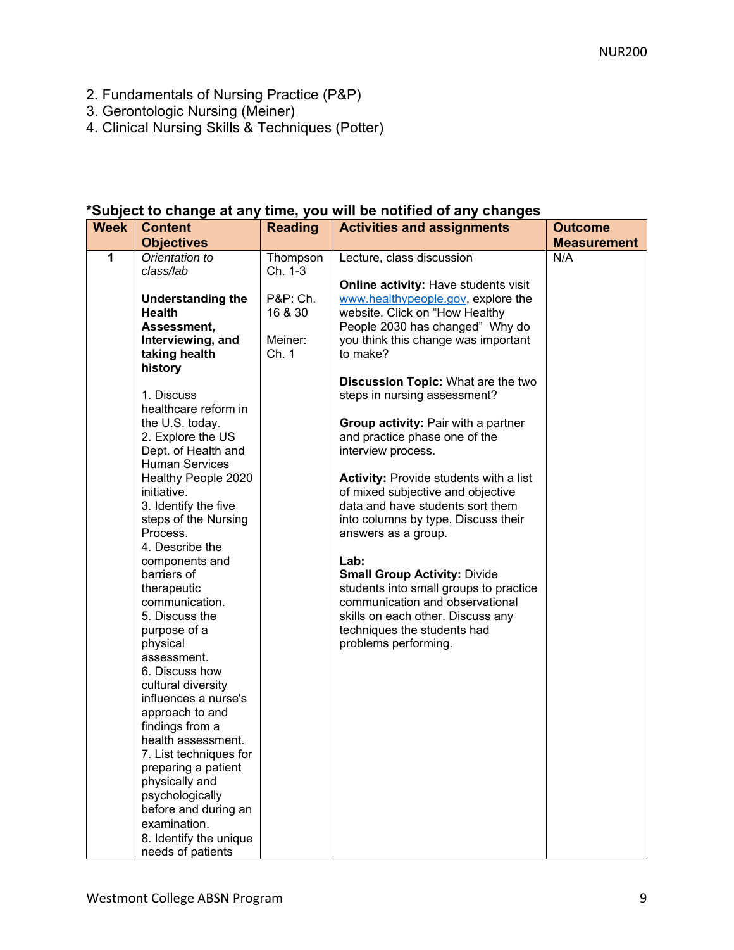- 2. Fundamentals of Nursing Practice (P&P)
- 3. Gerontologic Nursing (Meiner)
- 4. Clinical Nursing Skills & Techniques (Potter)

## **\*Subject to change at any time, you will be notified of any changes**

| <b>Week</b> | <b>Content</b>                     | <b>Reading</b> | <b>Activities and assignments</b>             | <b>Outcome</b>     |
|-------------|------------------------------------|----------------|-----------------------------------------------|--------------------|
|             | <b>Objectives</b>                  |                |                                               | <b>Measurement</b> |
| 1           | Orientation to                     | Thompson       | Lecture, class discussion                     | N/A                |
|             | class/lab                          | Ch. 1-3        |                                               |                    |
|             |                                    |                | Online activity: Have students visit          |                    |
|             | <b>Understanding the</b>           | P&P: Ch.       | www.healthypeople.gov, explore the            |                    |
|             | <b>Health</b>                      | 16 & 30        | website. Click on "How Healthy                |                    |
|             | Assessment,                        |                | People 2030 has changed" Why do               |                    |
|             | Interviewing, and                  | Meiner:        | you think this change was important           |                    |
|             | taking health                      | Ch. 1          | to make?                                      |                    |
|             | history                            |                |                                               |                    |
|             |                                    |                | <b>Discussion Topic: What are the two</b>     |                    |
|             | 1. Discuss<br>healthcare reform in |                | steps in nursing assessment?                  |                    |
|             | the U.S. today.                    |                | Group activity: Pair with a partner           |                    |
|             | 2. Explore the US                  |                | and practice phase one of the                 |                    |
|             | Dept. of Health and                |                | interview process.                            |                    |
|             | <b>Human Services</b>              |                |                                               |                    |
|             | Healthy People 2020                |                | <b>Activity: Provide students with a list</b> |                    |
|             | initiative.                        |                | of mixed subjective and objective             |                    |
|             | 3. Identify the five               |                | data and have students sort them              |                    |
|             | steps of the Nursing               |                | into columns by type. Discuss their           |                    |
|             | Process.                           |                | answers as a group.                           |                    |
|             | 4. Describe the                    |                |                                               |                    |
|             | components and                     |                | Lab:                                          |                    |
|             | barriers of                        |                | <b>Small Group Activity: Divide</b>           |                    |
|             | therapeutic                        |                | students into small groups to practice        |                    |
|             | communication.                     |                | communication and observational               |                    |
|             | 5. Discuss the                     |                | skills on each other. Discuss any             |                    |
|             | purpose of a                       |                | techniques the students had                   |                    |
|             | physical                           |                | problems performing.                          |                    |
|             | assessment.<br>6. Discuss how      |                |                                               |                    |
|             | cultural diversity                 |                |                                               |                    |
|             | influences a nurse's               |                |                                               |                    |
|             | approach to and                    |                |                                               |                    |
|             | findings from a                    |                |                                               |                    |
|             | health assessment.                 |                |                                               |                    |
|             | 7. List techniques for             |                |                                               |                    |
|             | preparing a patient                |                |                                               |                    |
|             | physically and                     |                |                                               |                    |
|             | psychologically                    |                |                                               |                    |
|             | before and during an               |                |                                               |                    |
|             | examination.                       |                |                                               |                    |
|             | 8. Identify the unique             |                |                                               |                    |
|             | needs of patients                  |                |                                               |                    |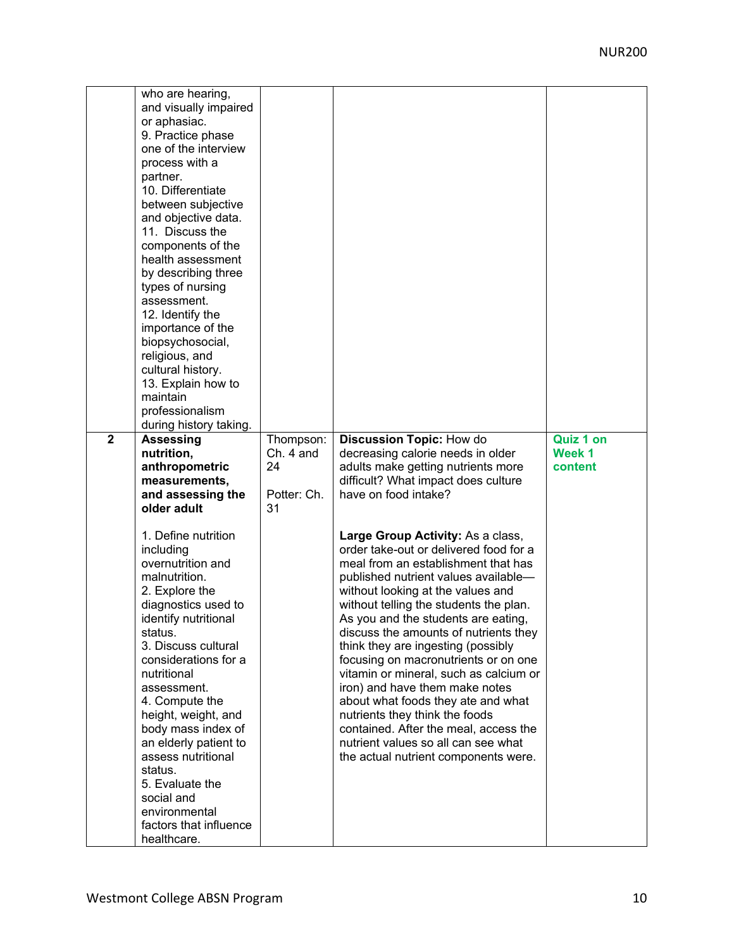| $\overline{2}$ | who are hearing,<br>and visually impaired<br>or aphasiac.<br>9. Practice phase<br>one of the interview<br>process with a<br>partner.<br>10. Differentiate<br>between subjective<br>and objective data.<br>11. Discuss the<br>components of the<br>health assessment<br>by describing three<br>types of nursing<br>assessment.<br>12. Identify the<br>importance of the<br>biopsychosocial,<br>religious, and<br>cultural history.<br>13. Explain how to<br>maintain<br>professionalism<br>during history taking.<br><b>Assessing</b><br>nutrition,<br>anthropometric<br>measurements,<br>and assessing the<br>older adult | Thompson:<br>$Ch. 4$ and<br>24<br>Potter: Ch.<br>31 | <b>Discussion Topic: How do</b><br>decreasing calorie needs in older<br>adults make getting nutrients more<br>difficult? What impact does culture<br>have on food intake?                                                                                                                                                                                                                                                                                                                                                                                                                                                                                                           | <b>Quiz 1 on</b><br>Week 1<br>content |
|----------------|---------------------------------------------------------------------------------------------------------------------------------------------------------------------------------------------------------------------------------------------------------------------------------------------------------------------------------------------------------------------------------------------------------------------------------------------------------------------------------------------------------------------------------------------------------------------------------------------------------------------------|-----------------------------------------------------|-------------------------------------------------------------------------------------------------------------------------------------------------------------------------------------------------------------------------------------------------------------------------------------------------------------------------------------------------------------------------------------------------------------------------------------------------------------------------------------------------------------------------------------------------------------------------------------------------------------------------------------------------------------------------------------|---------------------------------------|
|                | 1. Define nutrition<br>including<br>overnutrition and<br>malnutrition.<br>2. Explore the<br>diagnostics used to<br>identify nutritional<br>status.<br>3. Discuss cultural<br>considerations for a<br>nutritional<br>assessment.<br>4. Compute the<br>height, weight, and<br>body mass index of<br>an elderly patient to<br>assess nutritional<br>status.<br>5. Evaluate the<br>social and<br>environmental<br>factors that influence<br>healthcare.                                                                                                                                                                       |                                                     | Large Group Activity: As a class,<br>order take-out or delivered food for a<br>meal from an establishment that has<br>published nutrient values available-<br>without looking at the values and<br>without telling the students the plan.<br>As you and the students are eating,<br>discuss the amounts of nutrients they<br>think they are ingesting (possibly<br>focusing on macronutrients or on one<br>vitamin or mineral, such as calcium or<br>iron) and have them make notes<br>about what foods they ate and what<br>nutrients they think the foods<br>contained. After the meal, access the<br>nutrient values so all can see what<br>the actual nutrient components were. |                                       |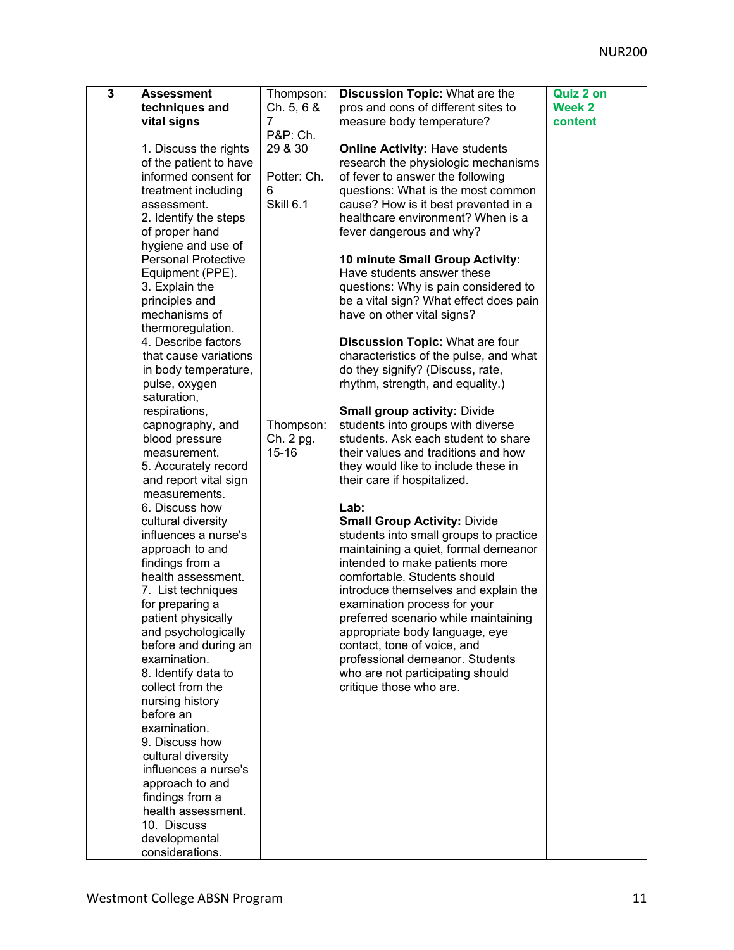| $\overline{3}$ | <b>Assessment</b>                       | Thompson:   | <b>Discussion Topic: What are the</b>                               | Quiz 2 on     |
|----------------|-----------------------------------------|-------------|---------------------------------------------------------------------|---------------|
|                | techniques and                          | Ch. 5, 6 &  | pros and cons of different sites to                                 | <b>Week 2</b> |
|                | vital signs                             | 7           | measure body temperature?                                           | content       |
|                |                                         | P&P: Ch.    |                                                                     |               |
|                | 1. Discuss the rights                   | 29 & 30     | <b>Online Activity: Have students</b>                               |               |
|                | of the patient to have                  |             | research the physiologic mechanisms                                 |               |
|                | informed consent for                    | Potter: Ch. | of fever to answer the following                                    |               |
|                | treatment including                     | 6           | questions: What is the most common                                  |               |
|                | assessment.                             | Skill 6.1   | cause? How is it best prevented in a                                |               |
|                | 2. Identify the steps                   |             | healthcare environment? When is a                                   |               |
|                | of proper hand                          |             | fever dangerous and why?                                            |               |
|                | hygiene and use of                      |             |                                                                     |               |
|                | <b>Personal Protective</b>              |             | 10 minute Small Group Activity:                                     |               |
|                | Equipment (PPE).                        |             | Have students answer these                                          |               |
|                | 3. Explain the                          |             | questions: Why is pain considered to                                |               |
|                | principles and                          |             | be a vital sign? What effect does pain                              |               |
|                | mechanisms of                           |             | have on other vital signs?                                          |               |
|                | thermoregulation.                       |             |                                                                     |               |
|                | 4. Describe factors                     |             | <b>Discussion Topic: What are four</b>                              |               |
|                | that cause variations                   |             | characteristics of the pulse, and what                              |               |
|                | in body temperature,                    |             | do they signify? (Discuss, rate,                                    |               |
|                | pulse, oxygen                           |             | rhythm, strength, and equality.)                                    |               |
|                | saturation,                             |             |                                                                     |               |
|                | respirations,                           |             | <b>Small group activity: Divide</b>                                 |               |
|                | capnography, and                        | Thompson:   | students into groups with diverse                                   |               |
|                | blood pressure                          | Ch. 2 pg.   | students. Ask each student to share                                 |               |
|                | measurement.                            | $15 - 16$   | their values and traditions and how                                 |               |
|                | 5. Accurately record                    |             | they would like to include these in                                 |               |
|                | and report vital sign                   |             | their care if hospitalized.                                         |               |
|                | measurements.                           |             |                                                                     |               |
|                | 6. Discuss how                          |             | Lab:                                                                |               |
|                | cultural diversity                      |             | <b>Small Group Activity: Divide</b>                                 |               |
|                | influences a nurse's                    |             | students into small groups to practice                              |               |
|                | approach to and                         |             | maintaining a quiet, formal demeanor                                |               |
|                | findings from a                         |             | intended to make patients more                                      |               |
|                | health assessment.                      |             | comfortable. Students should                                        |               |
|                | 7. List techniques                      |             | introduce themselves and explain the                                |               |
|                | for preparing a                         |             | examination process for your                                        |               |
|                | patient physically                      |             | preferred scenario while maintaining                                |               |
|                | and psychologically                     |             | appropriate body language, eye                                      |               |
|                | before and during an                    |             | contact, tone of voice, and                                         |               |
|                | examination.                            |             | professional demeanor. Students<br>who are not participating should |               |
|                | 8. Identify data to<br>collect from the |             | critique those who are.                                             |               |
|                | nursing history                         |             |                                                                     |               |
|                | before an                               |             |                                                                     |               |
|                | examination.                            |             |                                                                     |               |
|                | 9. Discuss how                          |             |                                                                     |               |
|                | cultural diversity                      |             |                                                                     |               |
|                | influences a nurse's                    |             |                                                                     |               |
|                | approach to and                         |             |                                                                     |               |
|                | findings from a                         |             |                                                                     |               |
|                | health assessment.                      |             |                                                                     |               |
|                | 10. Discuss                             |             |                                                                     |               |
|                | developmental                           |             |                                                                     |               |
|                | considerations.                         |             |                                                                     |               |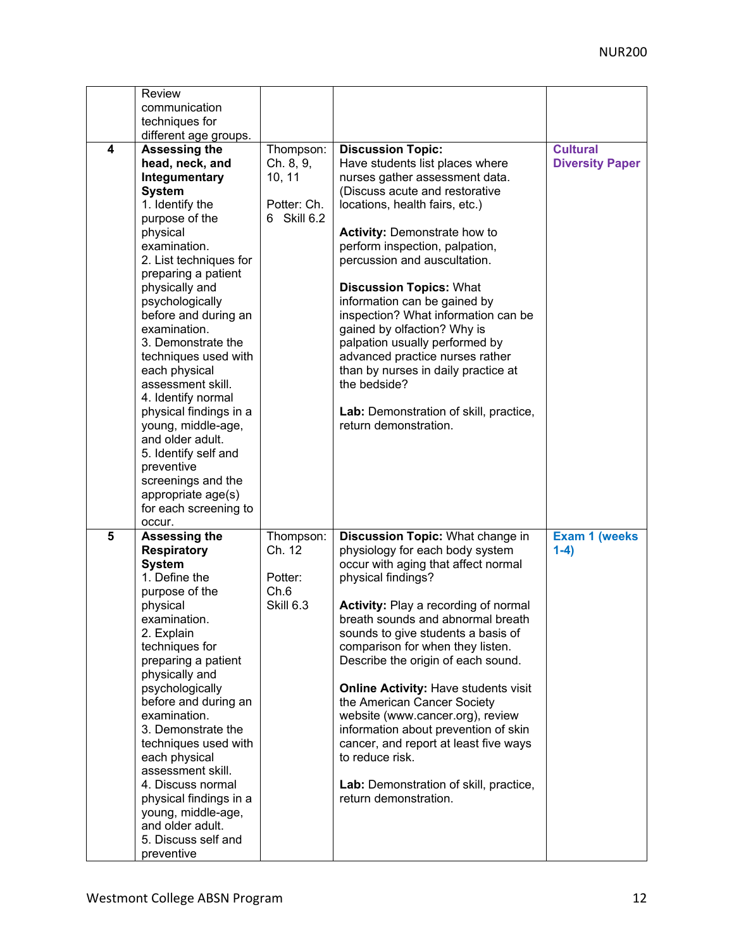|   | Review<br>communication<br>techniques for                                                                                                                                                                                                                                                                                                                                                                                                                                                                                                                         |                                                                |                                                                                                                                                                                                                                                                                                                                                                                                                                                                                                                                                                                                                               |                                           |
|---|-------------------------------------------------------------------------------------------------------------------------------------------------------------------------------------------------------------------------------------------------------------------------------------------------------------------------------------------------------------------------------------------------------------------------------------------------------------------------------------------------------------------------------------------------------------------|----------------------------------------------------------------|-------------------------------------------------------------------------------------------------------------------------------------------------------------------------------------------------------------------------------------------------------------------------------------------------------------------------------------------------------------------------------------------------------------------------------------------------------------------------------------------------------------------------------------------------------------------------------------------------------------------------------|-------------------------------------------|
| 4 | different age groups.<br><b>Assessing the</b><br>head, neck, and<br>Integumentary<br><b>System</b><br>1. Identify the<br>purpose of the<br>physical<br>examination.<br>2. List techniques for<br>preparing a patient<br>physically and<br>psychologically<br>before and during an<br>examination.<br>3. Demonstrate the<br>techniques used with<br>each physical<br>assessment skill.<br>4. Identify normal<br>physical findings in a<br>young, middle-age,<br>and older adult.<br>5. Identify self and<br>preventive<br>screenings and the<br>appropriate age(s) | Thompson:<br>Ch. 8, 9,<br>10, 11<br>Potter: Ch.<br>6 Skill 6.2 | <b>Discussion Topic:</b><br>Have students list places where<br>nurses gather assessment data.<br>(Discuss acute and restorative<br>locations, health fairs, etc.)<br><b>Activity: Demonstrate how to</b><br>perform inspection, palpation,<br>percussion and auscultation.<br><b>Discussion Topics: What</b><br>information can be gained by<br>inspection? What information can be<br>gained by olfaction? Why is<br>palpation usually performed by<br>advanced practice nurses rather<br>than by nurses in daily practice at<br>the bedside?<br>Lab: Demonstration of skill, practice,<br>return demonstration.             | <b>Cultural</b><br><b>Diversity Paper</b> |
|   | for each screening to<br>occur.                                                                                                                                                                                                                                                                                                                                                                                                                                                                                                                                   |                                                                |                                                                                                                                                                                                                                                                                                                                                                                                                                                                                                                                                                                                                               |                                           |
| 5 | <b>Assessing the</b><br><b>Respiratory</b><br><b>System</b><br>1. Define the<br>purpose of the<br>physical<br>examination.<br>2. Explain<br>techniques for<br>preparing a patient<br>physically and<br>psychologically<br>before and during an<br>examination.<br>3. Demonstrate the<br>techniques used with<br>each physical<br>assessment skill.<br>4. Discuss normal<br>physical findings in a<br>young, middle-age,<br>and older adult.<br>5. Discuss self and<br>preventive                                                                                  | Thompson:<br>Ch. 12<br>Potter:<br>Ch.6<br><b>Skill 6.3</b>     | Discussion Topic: What change in<br>physiology for each body system<br>occur with aging that affect normal<br>physical findings?<br><b>Activity: Play a recording of normal</b><br>breath sounds and abnormal breath<br>sounds to give students a basis of<br>comparison for when they listen.<br>Describe the origin of each sound.<br><b>Online Activity: Have students visit</b><br>the American Cancer Society<br>website (www.cancer.org), review<br>information about prevention of skin<br>cancer, and report at least five ways<br>to reduce risk.<br>Lab: Demonstration of skill, practice,<br>return demonstration. | <b>Exam 1 (weeks)</b><br>$1-4)$           |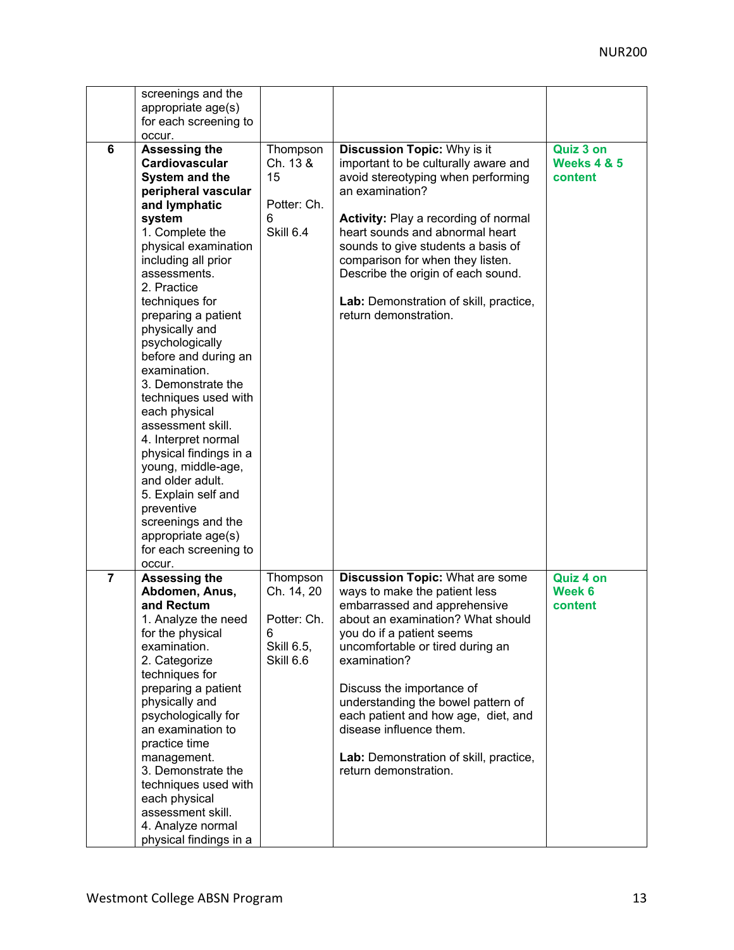|                | screenings and the<br>appropriate age(s)<br>for each screening to<br>occur.                                                                                                                                                                                                                                                                                                                                                                                                                                                                                                                                                          |                                                                       |                                                                                                                                                                                                                                                                                                                                                                                                                                       |                                                |
|----------------|--------------------------------------------------------------------------------------------------------------------------------------------------------------------------------------------------------------------------------------------------------------------------------------------------------------------------------------------------------------------------------------------------------------------------------------------------------------------------------------------------------------------------------------------------------------------------------------------------------------------------------------|-----------------------------------------------------------------------|---------------------------------------------------------------------------------------------------------------------------------------------------------------------------------------------------------------------------------------------------------------------------------------------------------------------------------------------------------------------------------------------------------------------------------------|------------------------------------------------|
| 6              | Assessing the<br>Cardiovascular<br><b>System and the</b><br>peripheral vascular<br>and lymphatic<br>system<br>1. Complete the<br>physical examination<br>including all prior<br>assessments.<br>2. Practice<br>techniques for<br>preparing a patient<br>physically and<br>psychologically<br>before and during an<br>examination.<br>3. Demonstrate the<br>techniques used with<br>each physical<br>assessment skill.<br>4. Interpret normal<br>physical findings in a<br>young, middle-age,<br>and older adult.<br>5. Explain self and<br>preventive<br>screenings and the<br>appropriate age(s)<br>for each screening to<br>occur. | Thompson<br>Ch. 13 &<br>15<br>Potter: Ch.<br>6<br><b>Skill 6.4</b>    | <b>Discussion Topic: Why is it</b><br>important to be culturally aware and<br>avoid stereotyping when performing<br>an examination?<br><b>Activity: Play a recording of normal</b><br>heart sounds and abnormal heart<br>sounds to give students a basis of<br>comparison for when they listen.<br>Describe the origin of each sound.<br>Lab: Demonstration of skill, practice,<br>return demonstration.                              | Quiz 3 on<br><b>Weeks 4 &amp; 5</b><br>content |
| $\overline{7}$ | <b>Assessing the</b><br>Abdomen, Anus,<br>and Rectum<br>1. Analyze the need<br>for the physical<br>examination.<br>2. Categorize<br>techniques for<br>preparing a patient<br>physically and<br>psychologically for<br>an examination to<br>practice time<br>management.<br>3. Demonstrate the<br>techniques used with<br>each physical<br>assessment skill.<br>4. Analyze normal<br>physical findings in a                                                                                                                                                                                                                           | Thompson<br>Ch. 14, 20<br>Potter: Ch.<br>6<br>Skill 6.5,<br>Skill 6.6 | <b>Discussion Topic: What are some</b><br>ways to make the patient less<br>embarrassed and apprehensive<br>about an examination? What should<br>you do if a patient seems<br>uncomfortable or tired during an<br>examination?<br>Discuss the importance of<br>understanding the bowel pattern of<br>each patient and how age, diet, and<br>disease influence them.<br>Lab: Demonstration of skill, practice,<br>return demonstration. | Quiz 4 on<br>Week 6<br>content                 |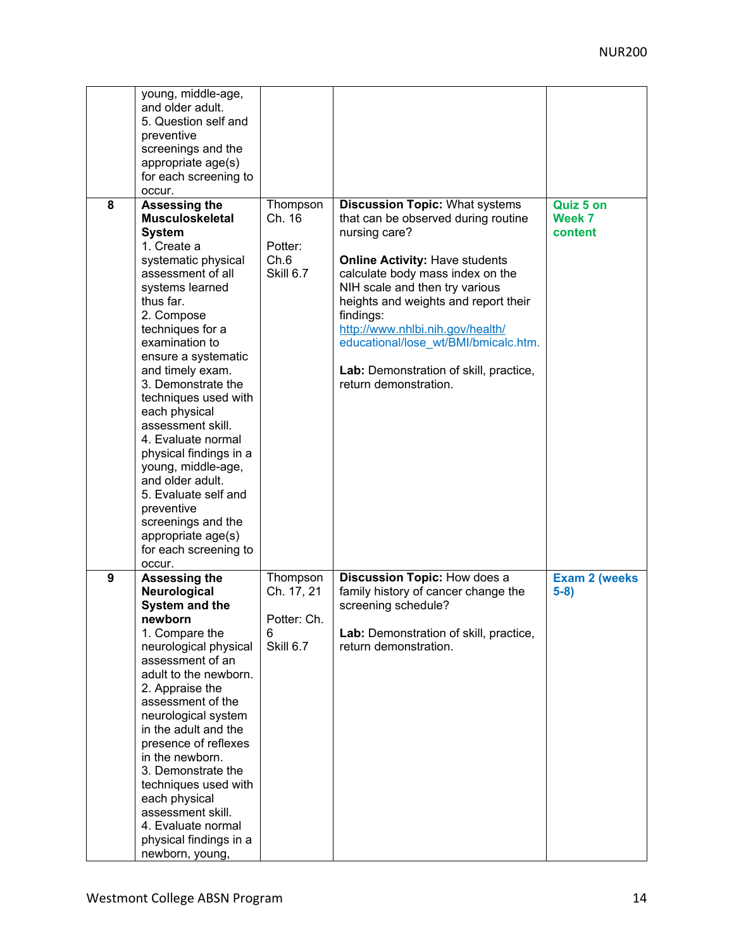|   | young, middle-age,<br>and older adult.<br>5. Question self and<br>preventive<br>screenings and the<br>appropriate age(s)<br>for each screening to<br>occur.                                                                                                                                                                                                                                                                                                                                                                                                  |                                                         |                                                                                                                                                                                                                                                                                                                                                                                                                  |                                |
|---|--------------------------------------------------------------------------------------------------------------------------------------------------------------------------------------------------------------------------------------------------------------------------------------------------------------------------------------------------------------------------------------------------------------------------------------------------------------------------------------------------------------------------------------------------------------|---------------------------------------------------------|------------------------------------------------------------------------------------------------------------------------------------------------------------------------------------------------------------------------------------------------------------------------------------------------------------------------------------------------------------------------------------------------------------------|--------------------------------|
| 8 | <b>Assessing the</b><br><b>Musculoskeletal</b><br><b>System</b><br>1. Create a<br>systematic physical<br>assessment of all<br>systems learned<br>thus far.<br>2. Compose<br>techniques for a<br>examination to<br>ensure a systematic<br>and timely exam.<br>3. Demonstrate the<br>techniques used with<br>each physical<br>assessment skill.<br>4. Evaluate normal<br>physical findings in a<br>young, middle-age,<br>and older adult.<br>5. Evaluate self and<br>preventive<br>screenings and the<br>appropriate age(s)<br>for each screening to<br>occur. | Thompson<br>Ch. 16<br>Potter:<br>Ch.6<br>Skill 6.7      | <b>Discussion Topic: What systems</b><br>that can be observed during routine<br>nursing care?<br><b>Online Activity: Have students</b><br>calculate body mass index on the<br>NIH scale and then try various<br>heights and weights and report their<br>findings:<br>http://www.nhlbi.nih.gov/health/<br>educational/lose wt/BMI/bmicalc.htm.<br>Lab: Demonstration of skill, practice,<br>return demonstration. | Quiz 5 on<br>Week 7<br>content |
| 9 | <b>Assessing the</b><br>Neurological<br>System and the<br>newborn<br>1. Compare the<br>neurological physical<br>assessment of an<br>adult to the newborn.<br>2. Appraise the<br>assessment of the<br>neurological system<br>in the adult and the<br>presence of reflexes<br>in the newborn.<br>3. Demonstrate the<br>techniques used with<br>each physical<br>assessment skill.<br>4. Evaluate normal<br>physical findings in a<br>newborn, young,                                                                                                           | Thompson<br>Ch. 17, 21<br>Potter: Ch.<br>6<br>Skill 6.7 | Discussion Topic: How does a<br>family history of cancer change the<br>screening schedule?<br>Lab: Demonstration of skill, practice,<br>return demonstration.                                                                                                                                                                                                                                                    | <b>Exam 2 (weeks)</b><br>$5-8$ |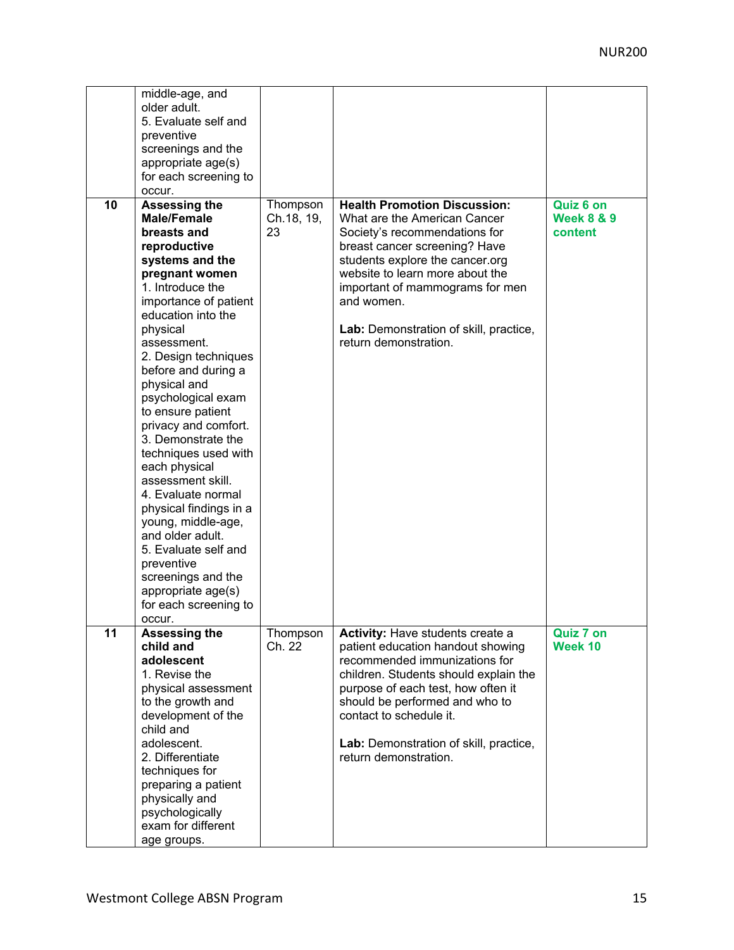|    | middle-age, and<br>older adult.<br>5. Evaluate self and<br>preventive<br>screenings and the<br>appropriate age(s)<br>for each screening to<br>occur.                                                                                                                                                                                                                                                                                                                                                                                                                                                                                       |                              |                                                                                                                                                                                                                                                                                                                                 |                                               |
|----|--------------------------------------------------------------------------------------------------------------------------------------------------------------------------------------------------------------------------------------------------------------------------------------------------------------------------------------------------------------------------------------------------------------------------------------------------------------------------------------------------------------------------------------------------------------------------------------------------------------------------------------------|------------------------------|---------------------------------------------------------------------------------------------------------------------------------------------------------------------------------------------------------------------------------------------------------------------------------------------------------------------------------|-----------------------------------------------|
| 10 | Assessing the<br><b>Male/Female</b><br>breasts and<br>reproductive<br>systems and the<br>pregnant women<br>1. Introduce the<br>importance of patient<br>education into the<br>physical<br>assessment.<br>2. Design techniques<br>before and during a<br>physical and<br>psychological exam<br>to ensure patient<br>privacy and comfort.<br>3. Demonstrate the<br>techniques used with<br>each physical<br>assessment skill.<br>4. Evaluate normal<br>physical findings in a<br>young, middle-age,<br>and older adult.<br>5. Evaluate self and<br>preventive<br>screenings and the<br>appropriate age(s)<br>for each screening to<br>occur. | Thompson<br>Ch.18, 19,<br>23 | <b>Health Promotion Discussion:</b><br>What are the American Cancer<br>Society's recommendations for<br>breast cancer screening? Have<br>students explore the cancer.org<br>website to learn more about the<br>important of mammograms for men<br>and women.<br>Lab: Demonstration of skill, practice,<br>return demonstration. | Quiz 6 on<br><b>Week 8 &amp; 9</b><br>content |
| 11 | <b>Assessing the</b><br>child and<br>adolescent<br>1. Revise the<br>physical assessment<br>to the growth and<br>development of the<br>child and<br>adolescent.<br>2. Differentiate<br>techniques for<br>preparing a patient<br>physically and<br>psychologically<br>exam for different<br>age groups.                                                                                                                                                                                                                                                                                                                                      | Thompson<br>Ch. 22           | Activity: Have students create a<br>patient education handout showing<br>recommended immunizations for<br>children. Students should explain the<br>purpose of each test, how often it<br>should be performed and who to<br>contact to schedule it.<br>Lab: Demonstration of skill, practice,<br>return demonstration.           | <b>Quiz 7 on</b><br>Week 10                   |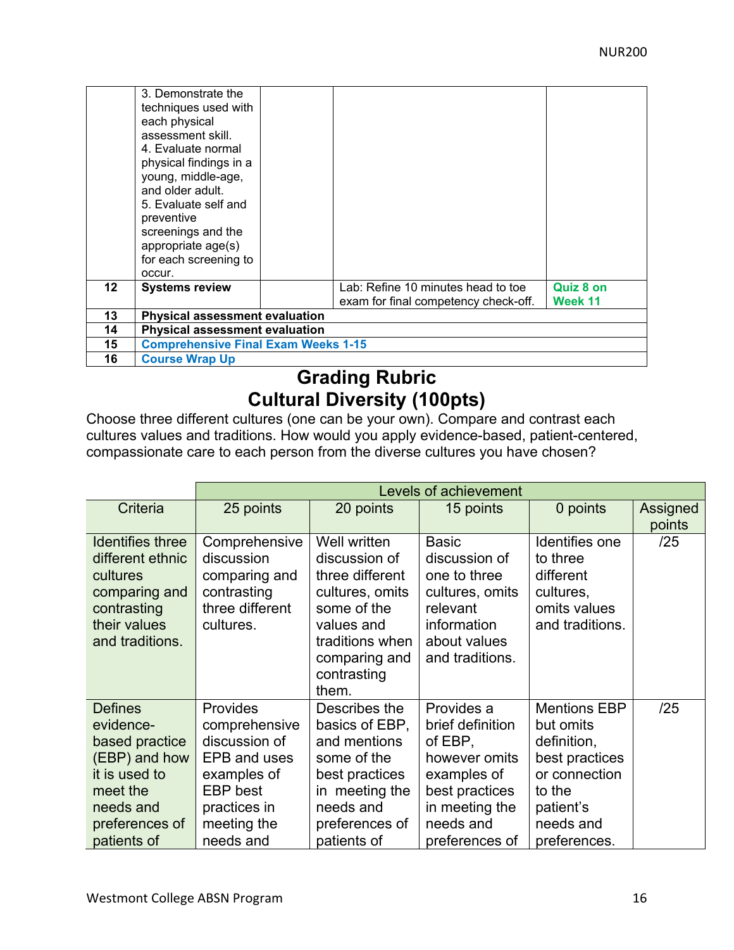|         | 3. Demonstrate the<br>techniques used with<br>each physical<br>assessment skill.<br>4. Evaluate normal<br>physical findings in a<br>young, middle-age, |  |                                      |                  |  |
|---------|--------------------------------------------------------------------------------------------------------------------------------------------------------|--|--------------------------------------|------------------|--|
|         | and older adult.<br>5. Evaluate self and                                                                                                               |  |                                      |                  |  |
|         | preventive                                                                                                                                             |  |                                      |                  |  |
|         | screenings and the                                                                                                                                     |  |                                      |                  |  |
|         | appropriate age(s)                                                                                                                                     |  |                                      |                  |  |
|         | for each screening to<br>OCCUL.                                                                                                                        |  |                                      |                  |  |
| $12 \,$ | <b>Systems review</b>                                                                                                                                  |  | Lab: Refine 10 minutes head to toe   | <b>Quiz 8 on</b> |  |
|         |                                                                                                                                                        |  | exam for final competency check-off. | Week 11          |  |
| 13      | <b>Physical assessment evaluation</b>                                                                                                                  |  |                                      |                  |  |
| 14      | <b>Physical assessment evaluation</b>                                                                                                                  |  |                                      |                  |  |
| 15      | <b>Comprehensive Final Exam Weeks 1-15</b>                                                                                                             |  |                                      |                  |  |
| 16      | <b>Course Wrap Up</b>                                                                                                                                  |  |                                      |                  |  |

# **Grading Rubric Cultural Diversity (100pts)**

Choose three different cultures (one can be your own). Compare and contrast each cultures values and traditions. How would you apply evidence-based, patient-centered, compassionate care to each person from the diverse cultures you have chosen?

|                                                                                                                                           | Levels of achievement                                                                                                                                  |                                                                                                                                                              |                                                                                                                                              |                                                                                                                                        |                    |
|-------------------------------------------------------------------------------------------------------------------------------------------|--------------------------------------------------------------------------------------------------------------------------------------------------------|--------------------------------------------------------------------------------------------------------------------------------------------------------------|----------------------------------------------------------------------------------------------------------------------------------------------|----------------------------------------------------------------------------------------------------------------------------------------|--------------------|
| Criteria                                                                                                                                  | 25 points                                                                                                                                              | 20 points                                                                                                                                                    | 15 points                                                                                                                                    | 0 points                                                                                                                               | Assigned<br>points |
| <b>Identifies three</b><br>different ethnic<br>cultures<br>comparing and<br>contrasting<br>their values<br>and traditions.                | Comprehensive<br>discussion<br>comparing and<br>contrasting<br>three different<br>cultures.                                                            | Well written<br>discussion of<br>three different<br>cultures, omits<br>some of the<br>values and<br>traditions when<br>comparing and<br>contrasting<br>them. | <b>Basic</b><br>discussion of<br>one to three<br>cultures, omits<br>relevant<br>information<br>about values<br>and traditions.               | Identifies one<br>to three<br>different<br>cultures,<br>omits values<br>and traditions.                                                | /25                |
| <b>Defines</b><br>evidence-<br>based practice<br>(EBP) and how<br>it is used to<br>meet the<br>needs and<br>preferences of<br>patients of | <b>Provides</b><br>comprehensive<br>discussion of<br><b>EPB and uses</b><br>examples of<br><b>EBP</b> best<br>practices in<br>meeting the<br>needs and | Describes the<br>basics of EBP,<br>and mentions<br>some of the<br>best practices<br>in meeting the<br>needs and<br>preferences of<br>patients of             | Provides a<br>brief definition<br>of EBP,<br>however omits<br>examples of<br>best practices<br>in meeting the<br>needs and<br>preferences of | <b>Mentions EBP</b><br>but omits<br>definition,<br>best practices<br>or connection<br>to the<br>patient's<br>needs and<br>preferences. | /25                |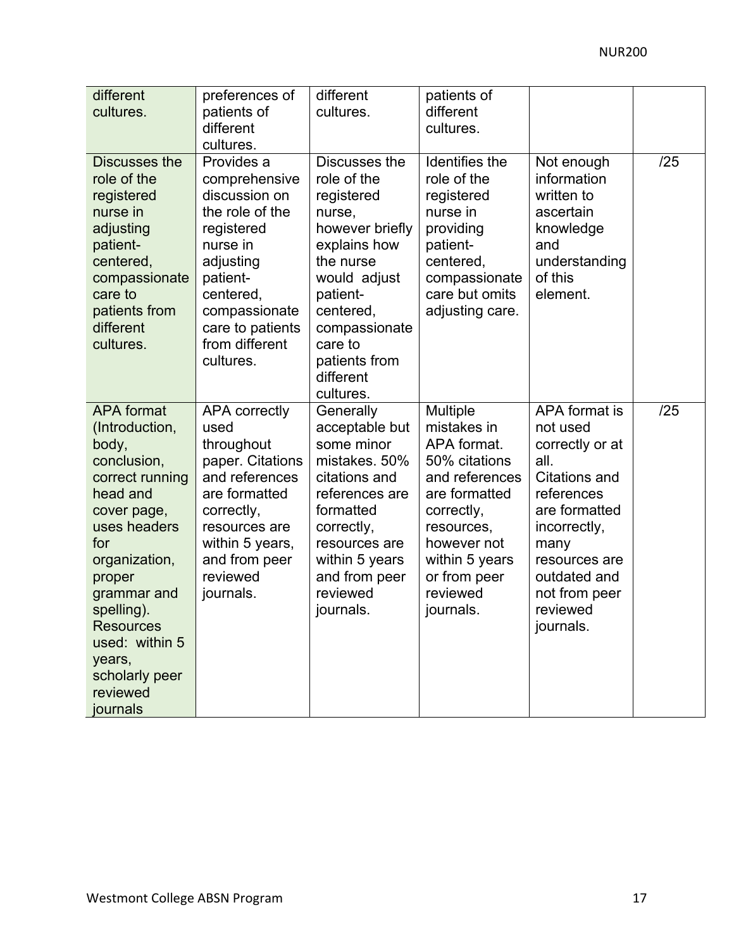| different<br>cultures.                                                                                                                                                                                                                                                             | preferences of<br>patients of<br>different<br>cultures.                                                                                                                                             | different<br>cultures.                                                                                                                                                                                               | patients of<br>different<br>cultures.                                                                                                                                                            |                                                                                                                                                                                                                |     |
|------------------------------------------------------------------------------------------------------------------------------------------------------------------------------------------------------------------------------------------------------------------------------------|-----------------------------------------------------------------------------------------------------------------------------------------------------------------------------------------------------|----------------------------------------------------------------------------------------------------------------------------------------------------------------------------------------------------------------------|--------------------------------------------------------------------------------------------------------------------------------------------------------------------------------------------------|----------------------------------------------------------------------------------------------------------------------------------------------------------------------------------------------------------------|-----|
| Discusses the<br>role of the<br>registered<br>nurse in<br>adjusting<br>patient-<br>centered,<br>compassionate<br>care to<br>patients from<br>different<br>cultures.                                                                                                                | Provides a<br>comprehensive<br>discussion on<br>the role of the<br>registered<br>nurse in<br>adjusting<br>patient-<br>centered,<br>compassionate<br>care to patients<br>from different<br>cultures. | Discusses the<br>role of the<br>registered<br>nurse,<br>however briefly<br>explains how<br>the nurse<br>would adjust<br>patient-<br>centered,<br>compassionate<br>care to<br>patients from<br>different<br>cultures. | Identifies the<br>role of the<br>registered<br>nurse in<br>providing<br>patient-<br>centered,<br>compassionate<br>care but omits<br>adjusting care.                                              | Not enough<br>information<br>written to<br>ascertain<br>knowledge<br>and<br>understanding<br>of this<br>element.                                                                                               | /25 |
| <b>APA</b> format<br>(Introduction,<br>body,<br>conclusion,<br>correct running<br>head and<br>cover page,<br>uses headers<br>for<br>organization,<br>proper<br>grammar and<br>spelling).<br><b>Resources</b><br>used: within 5<br>years,<br>scholarly peer<br>reviewed<br>journals | <b>APA correctly</b><br>used<br>throughout<br>paper. Citations<br>and references<br>are formatted<br>correctly,<br>resources are<br>within 5 years,<br>and from peer<br>reviewed<br>journals.       | Generally<br>acceptable but<br>some minor<br>mistakes. 50%<br>citations and<br>references are<br>formatted<br>correctly,<br>resources are<br>within 5 years<br>and from peer<br>reviewed<br>journals.                | Multiple<br>mistakes in<br>APA format.<br>50% citations<br>and references<br>are formatted<br>correctly,<br>resources,<br>however not<br>within 5 years<br>or from peer<br>reviewed<br>journals. | APA format is<br>not used<br>correctly or at<br>all.<br><b>Citations and</b><br>references<br>are formatted<br>incorrectly,<br>many<br>resources are<br>outdated and<br>not from peer<br>reviewed<br>journals. | /25 |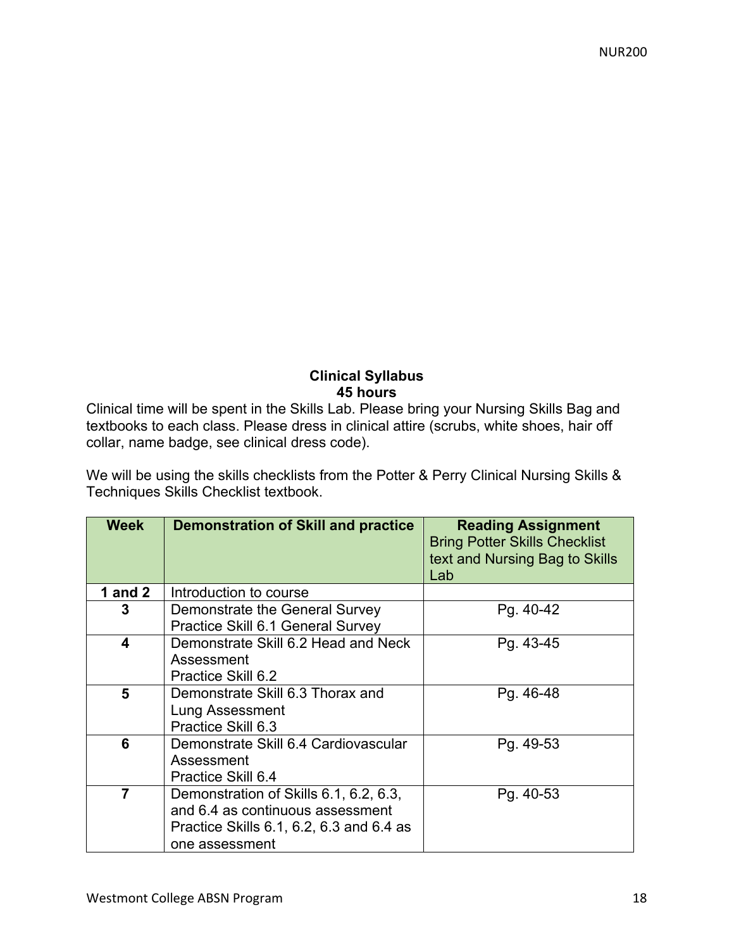## **Clinical Syllabus 45 hours**

Clinical time will be spent in the Skills Lab. Please bring your Nursing Skills Bag and textbooks to each class. Please dress in clinical attire (scrubs, white shoes, hair off collar, name badge, see clinical dress code).

We will be using the skills checklists from the Potter & Perry Clinical Nursing Skills & Techniques Skills Checklist textbook.

| <b>Week</b>             | <b>Demonstration of Skill and practice</b>                                                                                               | <b>Reading Assignment</b><br><b>Bring Potter Skills Checklist</b><br>text and Nursing Bag to Skills<br>Lab |
|-------------------------|------------------------------------------------------------------------------------------------------------------------------------------|------------------------------------------------------------------------------------------------------------|
| 1 and $2$               | Introduction to course                                                                                                                   |                                                                                                            |
| 3                       | Demonstrate the General Survey<br>Practice Skill 6.1 General Survey                                                                      | Pg. 40-42                                                                                                  |
| $\overline{\mathbf{4}}$ | Demonstrate Skill 6.2 Head and Neck<br>Assessment<br>Practice Skill 6.2                                                                  | Pg. 43-45                                                                                                  |
| 5                       | Demonstrate Skill 6.3 Thorax and<br>Lung Assessment<br>Practice Skill 6.3                                                                | Pg. 46-48                                                                                                  |
| 6                       | Demonstrate Skill 6.4 Cardiovascular<br>Assessment<br>Practice Skill 6.4                                                                 | Pg. 49-53                                                                                                  |
| $\overline{7}$          | Demonstration of Skills 6.1, 6.2, 6.3,<br>and 6.4 as continuous assessment<br>Practice Skills 6.1, 6.2, 6.3 and 6.4 as<br>one assessment | Pg. 40-53                                                                                                  |